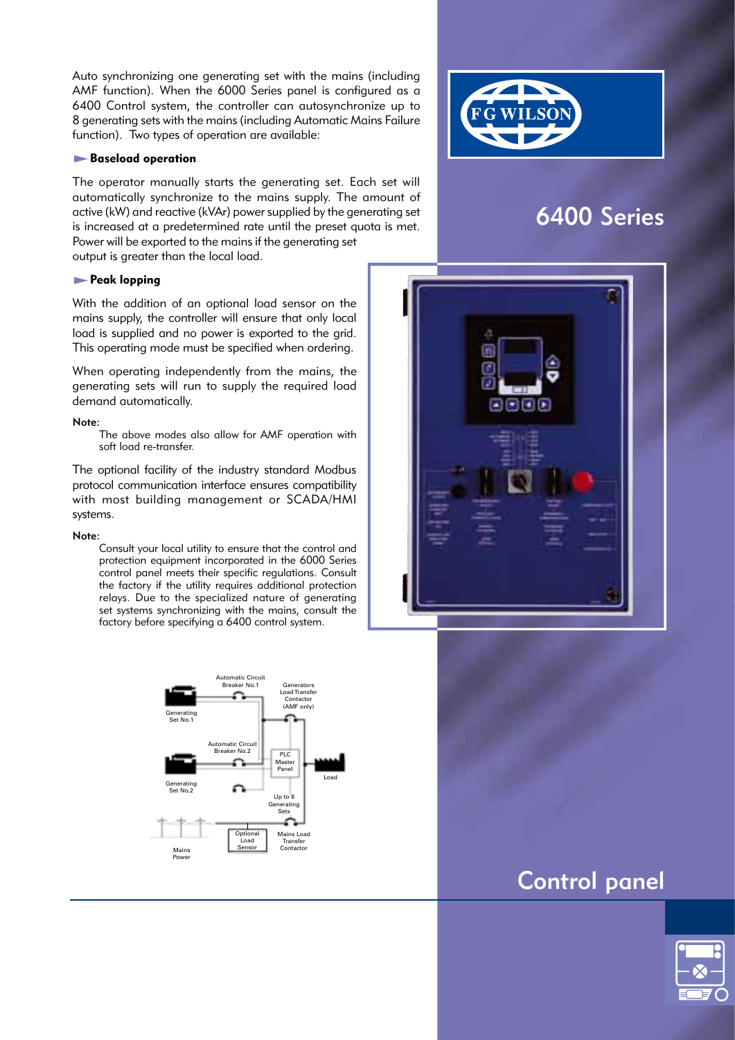Auto synchronizing one generating set with the mains (including AMF function). When the 6000 Series panel is configured as a 6400 Control system, the controller can autosynchronize up to 8 generating sets with the mains (including Automatic Mains Failure function). Two types of operation are available:

### **Baseload operation**

The operator manually starts the generating set. Each set will automatically synchronize to the mains supply. The amount of active (kW) and reactive (kVAr) power supplied by the generating set is increased at a predetermined rate until the preset quota is met. Power will be exported to the mains if the generating set output is greater than the local load.

**Peak lopping** 

With the addition of an optional load sensor on the mains supply, the controller will ensure that only local load is supplied and no power is exported to the grid. This operating mode must be specified when ordering.

When operating independently from the mains, the generating sets will run to supply the required load demand automatically.

#### Note:

The above modes also allow for AMF operation with soft load re-transfer.

The optional facility of the industry standard Modbus protocol communication interface ensures compatibility with most building management or SCADA/HMI systems.

#### Note:

Consult your local utility to ensure that the control and protection equipment incorporated in the 6000 Series control panel meets their specific regulations. Consult the factory if the utility requires additional protection relays. Due to the specialized nature of generating set systems synchronizing with the mains, consult the factory before specifying a 6400 control system.





# 6400 Series



# Control panel